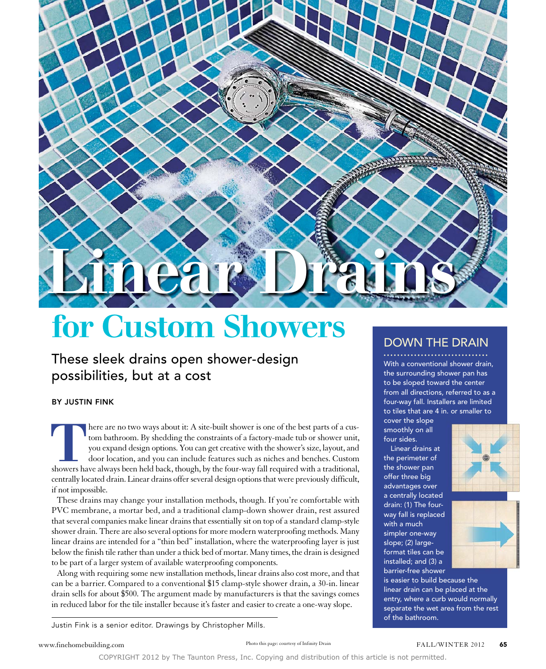

## for Custom Showers

These sleek drains open shower-design possibilities, but at a cost

BY JUSTIN FINK

There are no two ways about it: A site-built shower is one of the best parts of a custom bathroom. By shedding the constraints of a factory-made tub or shower unit, you expand design options. You can get creative with the tom bathroom. By shedding the constraints of a factory-made tub or shower unit, you expand design options. You can get creative with the shower's size, layout, and door location, and you can include features such as niches and benches. Custom centrally located drain. Linear drains offer several design options that were previously difficult, if not impossible.

These drains may change your installation methods, though. If you're comfortable with PVC membrane, a mortar bed, and a traditional clamp-down shower drain, rest assured that several companies make linear drains that essentially sit on top of a standard clamp-style shower drain. There are also several options for more modern waterproofing methods. Many linear drains are intended for a "thin bed" installation, where the waterproofing layer is just below the finish tile rather than under a thick bed of mortar. Many times, the drain is designed to be part of a larger system of available waterproofing components.

Along with requiring some new installation methods, linear drains also cost more, and that can be a barrier. Compared to a conventional \$15 clamp-style shower drain, a 30-in. linear drain sells for about \$500. The argument made by manufacturers is that the savings comes in reduced labor for the tile installer because it's faster and easier to create a one-way slope.

DOWN THE DRAIN

With a conventional shower drain, the surrounding shower pan has to be sloped toward the center from all directions, referred to as a four-way fall. Installers are limited to tiles that are 4 in. or smaller to

cover the slope smoothly on all four sides.

Linear drains at the perimeter of the shower pan offer three big advantages over a centrally located drain: (1) The fourway fall is replaced with a much simpler one-way slope; (2) largeformat tiles can be installed; and (3) a barrier-free shower





is easier to build because the linear drain can be placed at the entry, where a curb would normally separate the wet area from the rest of the bathroom.

Justin Fink is a senior editor. Drawings by Christopher Mills.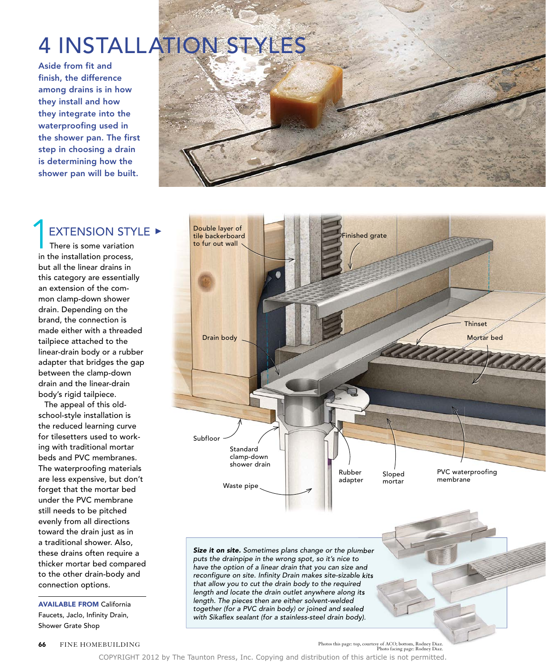## 4 INSTALLATION STYLES

Aside from fit and finish, the difference among drains is in how they install and how they integrate into the waterproofing used in the shower pan. The first step in choosing a drain is determining how the shower pan will be built.



## **EXTENSION STYLE ▶** 1

 There is some variation in the installation process, but all the linear drains in this category are essentially an extension of the common clamp-down shower drain. Depending on the brand, the connection is made either with a threaded tailpiece attached to the linear-drain body or a rubber adapter that bridges the gap between the clamp-down drain and the linear-drain body's rigid tailpiece.

The appeal of this oldschool-style installation is the reduced learning curve for tilesetters used to working with traditional mortar beds and PVC membranes. The waterproofing materials are less expensive, but don't forget that the mortar bed under the PVC membrane still needs to be pitched evenly from all directions toward the drain just as in a traditional shower. Also, these drains often require a thicker mortar bed compared to the other drain-body and connection options.

AVAILABLE FROM California Faucets, Jaclo, Infinity Drain, Shower Grate Shop



*Size it on site. Sometimes plans change or the plumber puts the drainpipe in the wrong spot, so it's nice to have the option of a linear drain that you can size and reconfigure on site. Infinity Drain makes site-sizable kits that allow you to cut the drain body to the required length and locate the drain outlet anywhere along its length. The pieces then are either solvent-welded together (for a PVC drain body) or joined and sealed with Sikaflex sealant (for a stainless-steel drain body).*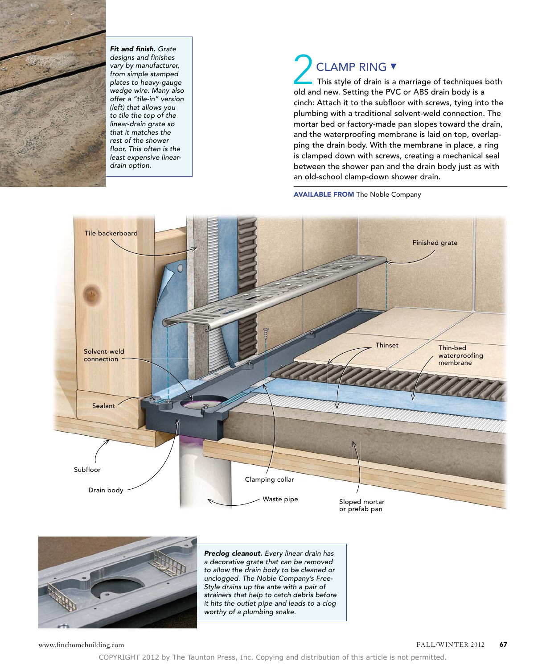

*Fit and finish. Grate designs and finishes vary by manufacturer, from simple stamped plates to heavy-gauge wedge wire. Many also offer a "tile-in" version (left) that allows you to tile the top of the linear-drain grate so that it matches the rest of the shower floor. This often is the least expensive lineardrain option.*

## CLAMP RING ▼ This style of drain is a marriage of techniques both CLAMP RING **v**<br>This style of drain is a marriage of techniques lold and new. Setting the PVC or ABS drain body is a cinch: Attach it to the subfloor with screws, tying into the plumbing with a traditional solvent-weld connection. The mortar bed or factory-made pan slopes toward the drain, and the waterproofing membrane is laid on top, overlapping the drain body. With the membrane in place, a ring is clamped down with screws, creating a mechanical seal between the shower pan and the drain body just as with

AVAILABLE FROM The Noble Company

an old-school clamp-down shower drain.





*Preclog cleanout. Every linear drain has a decorative grate that can be removed to allow the drain body to be cleaned or unclogged. The Noble Company's Free-Style drains up the ante with a pair of strainers that help to catch debris before it hits the outlet pipe and leads to a clog worthy of a plumbing snake.*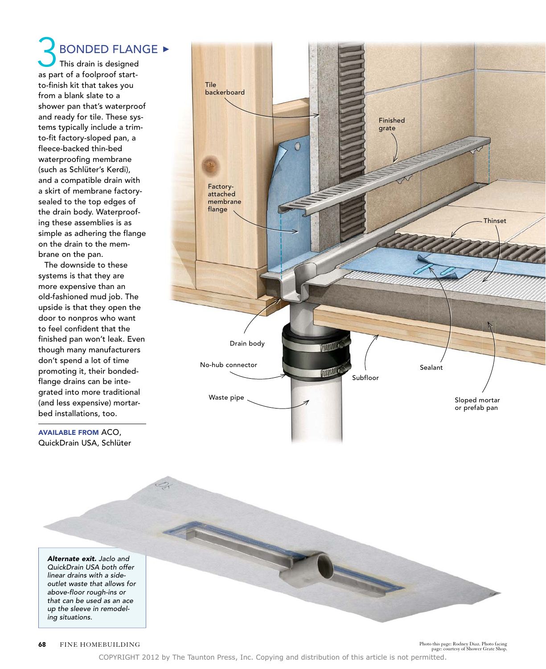This drain is designed **3** BONDED FLAM<br>This drain is designed<br>as part of a foolproof startto-finish kit that takes you from a blank slate to a shower pan that's waterproof and ready for tile. These systems typically include a trimto-fit factory-sloped pan, a fleece-backed thin-bed waterproofing membrane (such as Schlüter's Kerdi), and a compatible drain with a skirt of membrane factorysealed to the top edges of the drain body. Waterproofing these assemblies is as simple as adhering the flange on the drain to the membrane on the pan. **BONDED FLANGE ▶** 

The downside to these systems is that they are more expensive than an old-fashioned mud job. The upside is that they open the door to nonpros who want to feel confident that the finished pan won't leak. Even though many manufacturers don't spend a lot of time promoting it, their bondedflange drains can be integrated into more traditional (and less expensive) mortarbed installations, too.

AVAILABLE FROM ACO, QuickDrain USA, Schlüter



*Alternate exit. Jaclo and QuickDrain USA both offer linear drains with a sideoutlet waste that allows for above-floor rough-ins or that can be used as an ace up the sleeve in remodeling situations.* 

FINE HOMEBUILDING Photo this page: Rodney Diaz. Photo facing Photo this page: Rodney Diaz. Photo facing page: courtesy of Shower Grate Shop.